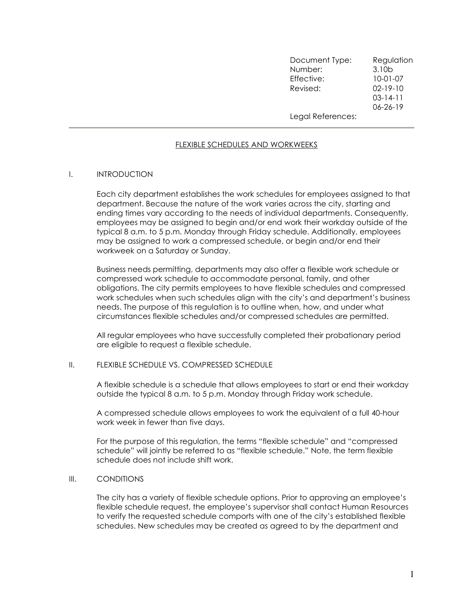| Document Type:<br>Number: | Regulation<br>3.10 <sub>b</sub> |
|---------------------------|---------------------------------|
| Effective:                | $10-01-07$                      |
| Revised:                  | $02 - 19 - 10$                  |
|                           | $03 - 14 - 11$                  |
|                           | $06 - 26 - 19$                  |
| Legal References:         |                                 |

# FLEXIBLE SCHEDULES AND WORKWEEKS

## I. INTRODUCTION

Each city department establishes the work schedules for employees assigned to that department. Because the nature of the work varies across the city, starting and ending times vary according to the needs of individual departments. Consequently, employees may be assigned to begin and/or end work their workday outside of the typical 8 a.m. to 5 p.m. Monday through Friday schedule. Additionally, employees may be assigned to work a compressed schedule, or begin and/or end their workweek on a Saturday or Sunday.

Business needs permitting, departments may also offer a flexible work schedule or compressed work schedule to accommodate personal, family, and other obligations. The city permits employees to have flexible schedules and compressed work schedules when such schedules align with the city's and department's business needs. The purpose of this regulation is to outline when, how, and under what circumstances flexible schedules and/or compressed schedules are permitted.

All regular employees who have successfully completed their probationary period are eligible to request a flexible schedule.

## II. FLEXIBLE SCHEDULE VS. COMPRESSED SCHEDULE

A flexible schedule is a schedule that allows employees to start or end their workday outside the typical 8 a.m. to 5 p.m. Monday through Friday work schedule.

A compressed schedule allows employees to work the equivalent of a full 40-hour work week in fewer than five days.

For the purpose of this regulation, the terms "flexible schedule" and "compressed schedule" will jointly be referred to as "flexible schedule." Note, the term flexible schedule does not include shift work.

#### III. CONDITIONS

The city has a variety of flexible schedule options. Prior to approving an employee's flexible schedule request, the employee's supervisor shall contact Human Resources to verify the requested schedule comports with one of the city's established flexible schedules. New schedules may be created as agreed to by the department and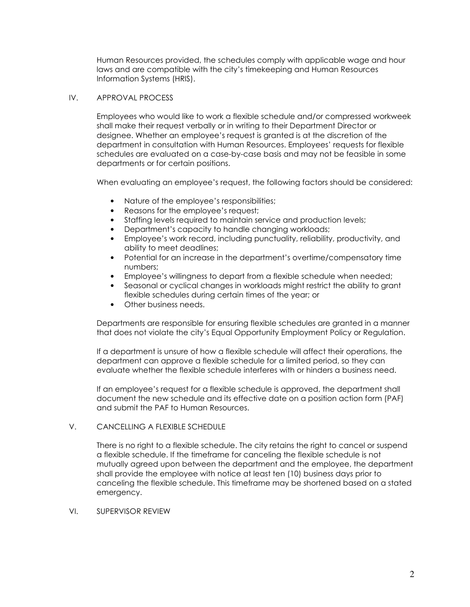Human Resources provided, the schedules comply with applicable wage and hour laws and are compatible with the city's timekeeping and Human Resources Information Systems (HRIS).

## IV. APPROVAL PROCESS

Employees who would like to work a flexible schedule and/or compressed workweek shall make their request verbally or in writing to their Department Director or designee. Whether an employee's request is granted is at the discretion of the department in consultation with Human Resources. Employees' requests for flexible schedules are evaluated on a case-by-case basis and may not be feasible in some departments or for certain positions.

When evaluating an employee's request, the following factors should be considered:

- Nature of the employee's responsibilities;
- Reasons for the employee's request;
- Staffing levels required to maintain service and production levels;
- Department's capacity to handle changing workloads;
- Employee's work record, including punctuality, reliability, productivity, and ability to meet deadlines;
- Potential for an increase in the department's overtime/compensatory time numbers;
- Employee's willingness to depart from a flexible schedule when needed;
- Seasonal or cyclical changes in workloads might restrict the ability to grant flexible schedules during certain times of the year; or
- Other business needs.

Departments are responsible for ensuring flexible schedules are granted in a manner that does not violate the city's Equal Opportunity Employment Policy or Regulation.

If a department is unsure of how a flexible schedule will affect their operations, the department can approve a flexible schedule for a limited period, so they can evaluate whether the flexible schedule interferes with or hinders a business need.

If an employee's request for a flexible schedule is approved, the department shall document the new schedule and its effective date on a position action form (PAF) and submit the PAF to Human Resources.

# V. CANCELLING A FLEXIBLE SCHEDULE

There is no right to a flexible schedule. The city retains the right to cancel or suspend a flexible schedule. If the timeframe for canceling the flexible schedule is not mutually agreed upon between the department and the employee, the department shall provide the employee with notice at least ten (10) business days prior to canceling the flexible schedule. This timeframe may be shortened based on a stated emergency.

## VI. SUPERVISOR REVIEW